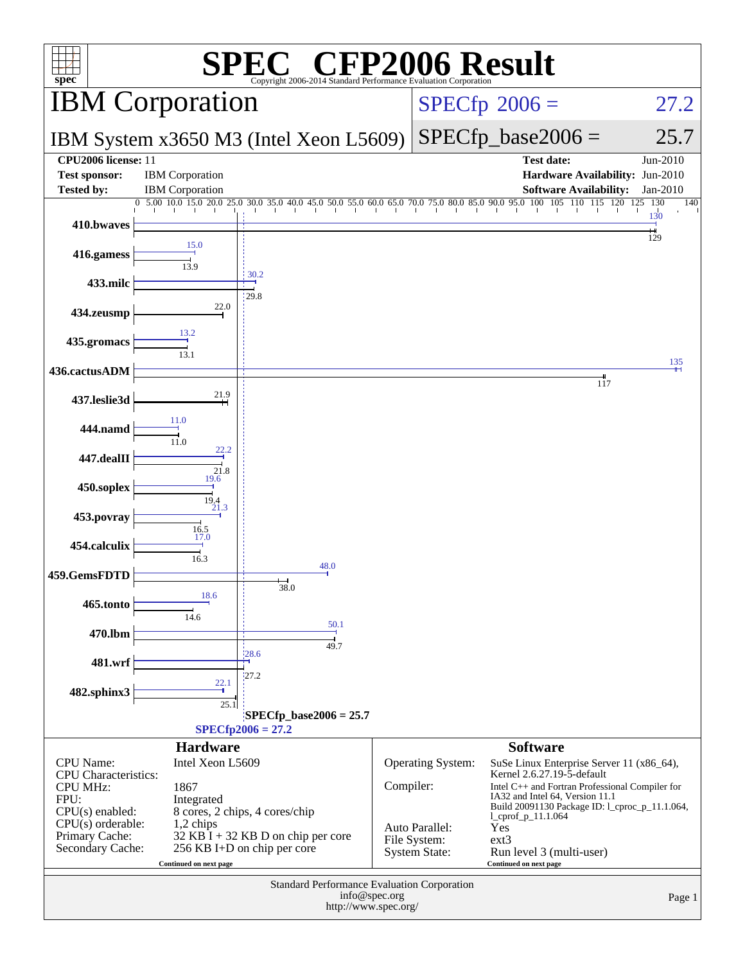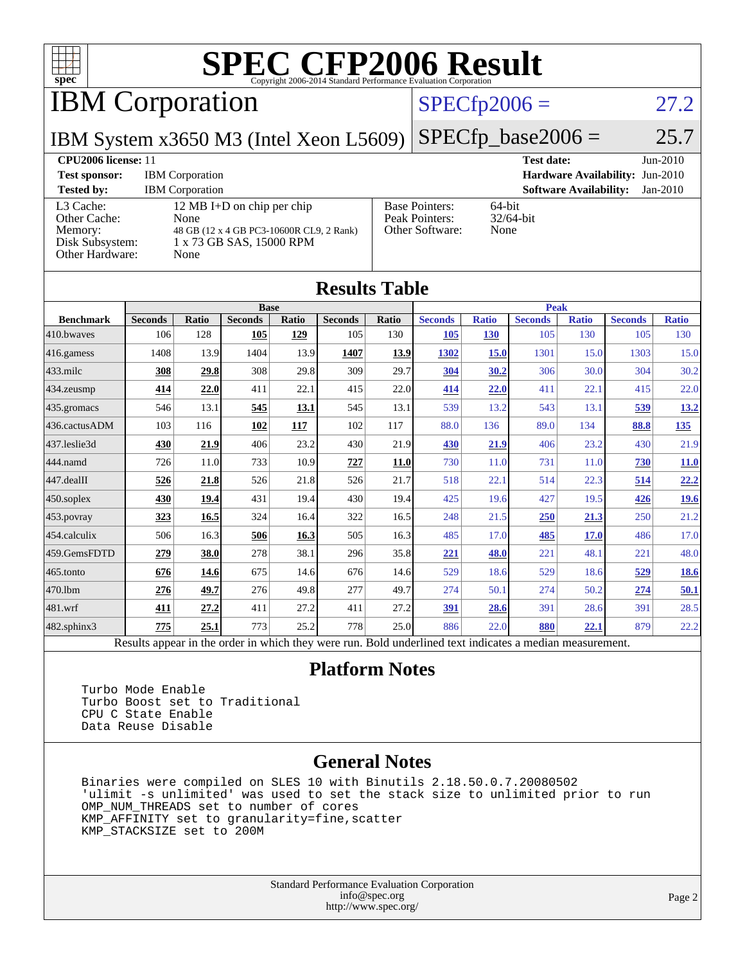

IBM Corporation

#### $SPECfp2006 = 27.2$  $SPECfp2006 = 27.2$

IBM System x3650 M3 (Intel Xeon L5609)

 $SPECTp\_base2006 = 25.7$ 

#### **[CPU2006 license:](http://www.spec.org/auto/cpu2006/Docs/result-fields.html#CPU2006license)** 11 **[Test date:](http://www.spec.org/auto/cpu2006/Docs/result-fields.html#Testdate)** Jun-2010 **[Test sponsor:](http://www.spec.org/auto/cpu2006/Docs/result-fields.html#Testsponsor)** IBM Corporation **[Hardware Availability:](http://www.spec.org/auto/cpu2006/Docs/result-fields.html#HardwareAvailability)** Jun-2010 **[Tested by:](http://www.spec.org/auto/cpu2006/Docs/result-fields.html#Testedby)** IBM Corporation **[Software Availability:](http://www.spec.org/auto/cpu2006/Docs/result-fields.html#SoftwareAvailability)** Jan-2010 [L3 Cache:](http://www.spec.org/auto/cpu2006/Docs/result-fields.html#L3Cache) 12 MB I+D on chip per chip<br>Other Cache: None [Other Cache:](http://www.spec.org/auto/cpu2006/Docs/result-fields.html#OtherCache) [Memory:](http://www.spec.org/auto/cpu2006/Docs/result-fields.html#Memory) 48 GB (12 x 4 GB PC3-10600R CL9, 2 Rank) [Disk Subsystem:](http://www.spec.org/auto/cpu2006/Docs/result-fields.html#DiskSubsystem) 1 x 73 GB SAS, 15000 RPM [Other Hardware:](http://www.spec.org/auto/cpu2006/Docs/result-fields.html#OtherHardware) None [Base Pointers:](http://www.spec.org/auto/cpu2006/Docs/result-fields.html#BasePointers) 64-bit<br>Peak Pointers: 32/64-bit [Peak Pointers:](http://www.spec.org/auto/cpu2006/Docs/result-fields.html#PeakPointers) [Other Software:](http://www.spec.org/auto/cpu2006/Docs/result-fields.html#OtherSoftware) None

| <b>Results Table</b>                                                                                     |                |       |                |       |                |       |                |              |                |              |                |              |
|----------------------------------------------------------------------------------------------------------|----------------|-------|----------------|-------|----------------|-------|----------------|--------------|----------------|--------------|----------------|--------------|
|                                                                                                          | <b>Base</b>    |       |                |       |                |       | <b>Peak</b>    |              |                |              |                |              |
| <b>Benchmark</b>                                                                                         | <b>Seconds</b> | Ratio | <b>Seconds</b> | Ratio | <b>Seconds</b> | Ratio | <b>Seconds</b> | <b>Ratio</b> | <b>Seconds</b> | <b>Ratio</b> | <b>Seconds</b> | <b>Ratio</b> |
| 410.bwayes                                                                                               | 106            | 128   | 105            | 129   | 105            | 130   | 105            | <b>130</b>   | 105            | 130          | 105            | 130          |
| 416.gamess                                                                                               | 1408           | 13.9  | 1404           | 13.9  | 1407           | 13.9  | 1302           | <b>15.0</b>  | 1301           | 15.0         | 1303           | 15.0         |
| $433$ .milc                                                                                              | 308            | 29.8  | 308            | 29.8  | 309            | 29.7  | 304            | 30.2         | 306            | 30.0         | 304            | 30.2         |
| 434.zeusmp                                                                                               | 414            | 22.0  | 411            | 22.1  | 415            | 22.0  | 414            | 22.0         | 411            | 22.1         | 415            | 22.0         |
| 435.gromacs                                                                                              | 546            | 13.1  | 545            | 13.1  | 545            | 13.1  | 539            | 13.2         | 543            | 13.1         | 539            | 13.2         |
| 436.cactusADM                                                                                            | 103            | 116   | 102            | 117   | 102            | 117   | 88.0           | 136          | 89.0           | 134          | 88.8           | <u>135</u>   |
| 437.leslie3d                                                                                             | 430            | 21.9  | 406            | 23.2  | 430            | 21.9  | 430            | 21.9         | 406            | 23.2         | 430            | 21.9         |
| 444.namd                                                                                                 | 726            | 11.0  | 733            | 10.9  | 727            | 11.0  | 730            | 11.0         | 731            | 11.0         | 730            | <b>11.0</b>  |
| 447.dealII                                                                                               | 526            | 21.8  | 526            | 21.8  | 526            | 21.7  | 518            | 22.1         | 514            | 22.3         | 514            | 22.2         |
| $450$ .soplex                                                                                            | 430            | 19.4  | 431            | 19.4  | 430            | 19.4  | 425            | 19.6         | 427            | 19.5         | 426            | <u>19.6</u>  |
| 453.povray                                                                                               | 323            | 16.5  | 324            | 16.4  | 322            | 16.5  | 248            | 21.5         | 250            | 21.3         | 250            | 21.2         |
| 454.calculix                                                                                             | 506            | 16.3  | 506            | 16.3  | 505            | 16.3  | 485            | 17.0         | 485            | 17.0         | 486            | 17.0         |
| 459.GemsFDTD                                                                                             | 279            | 38.0  | 278            | 38.1  | 296            | 35.8  | 221            | 48.0         | 221            | 48.1         | 221            | 48.0         |
| 465.tonto                                                                                                | 676            | 14.6  | 675            | 14.6  | 676            | 14.6  | 529            | 18.6         | 529            | 18.6         | 529            | <u>18.6</u>  |
| 470.1bm                                                                                                  | 276            | 49.7  | 276            | 49.8  | 277            | 49.7  | 274            | 50.1         | 274            | 50.2         | 274            | 50.1         |
| 481.wrf                                                                                                  | 411            | 27.2  | 411            | 27.2  | 411            | 27.2  | <u>391</u>     | 28.6         | 391            | 28.6         | 391            | 28.5         |
| 482.sphinx3                                                                                              | 775            | 25.1  | 773            | 25.2  | 778            | 25.0  | 886            | 22.0         | 880            | 22.1         | 879            | 22.2         |
| Results appear in the order in which they were run. Bold underlined text indicates a median measurement. |                |       |                |       |                |       |                |              |                |              |                |              |

#### **[Platform Notes](http://www.spec.org/auto/cpu2006/Docs/result-fields.html#PlatformNotes)**

 Turbo Mode Enable Turbo Boost set to Traditional CPU C State Enable Data Reuse Disable

#### **[General Notes](http://www.spec.org/auto/cpu2006/Docs/result-fields.html#GeneralNotes)**

 Binaries were compiled on SLES 10 with Binutils 2.18.50.0.7.20080502 'ulimit -s unlimited' was used to set the stack size to unlimited prior to run OMP\_NUM\_THREADS set to number of cores KMP\_AFFINITY set to granularity=fine,scatter KMP\_STACKSIZE set to 200M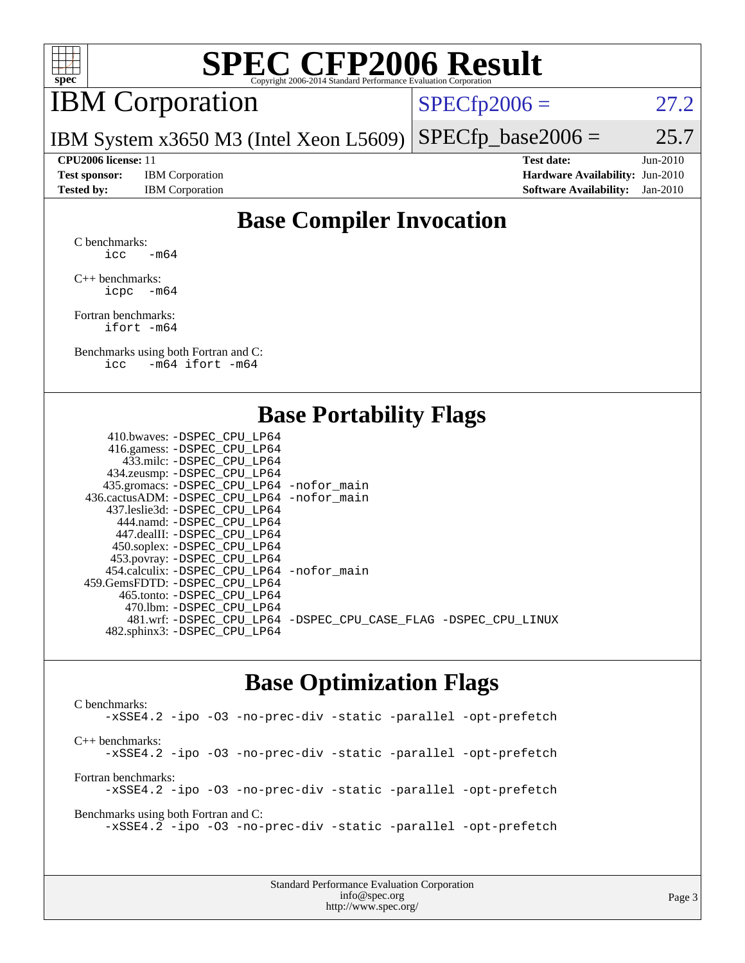

## IBM Corporation

 $SPECTp2006 = 27.2$ 

IBM System x3650 M3 (Intel Xeon L5609)  $SPECTp\_base2006 = 25.7$ 

**[Test sponsor:](http://www.spec.org/auto/cpu2006/Docs/result-fields.html#Testsponsor)** IBM Corporation **[Hardware Availability:](http://www.spec.org/auto/cpu2006/Docs/result-fields.html#HardwareAvailability)** Jun-2010

**[CPU2006 license:](http://www.spec.org/auto/cpu2006/Docs/result-fields.html#CPU2006license)** 11 **[Test date:](http://www.spec.org/auto/cpu2006/Docs/result-fields.html#Testdate)** Jun-2010 **[Tested by:](http://www.spec.org/auto/cpu2006/Docs/result-fields.html#Testedby)** IBM Corporation **[Software Availability:](http://www.spec.org/auto/cpu2006/Docs/result-fields.html#SoftwareAvailability)** Jan-2010

### **[Base Compiler Invocation](http://www.spec.org/auto/cpu2006/Docs/result-fields.html#BaseCompilerInvocation)**

[C benchmarks](http://www.spec.org/auto/cpu2006/Docs/result-fields.html#Cbenchmarks): icc  $-m64$ 

[C++ benchmarks:](http://www.spec.org/auto/cpu2006/Docs/result-fields.html#CXXbenchmarks) [icpc -m64](http://www.spec.org/cpu2006/results/res2010q3/cpu2006-20100621-11855.flags.html#user_CXXbase_intel_icpc_64bit_bedb90c1146cab66620883ef4f41a67e)

[Fortran benchmarks](http://www.spec.org/auto/cpu2006/Docs/result-fields.html#Fortranbenchmarks): [ifort -m64](http://www.spec.org/cpu2006/results/res2010q3/cpu2006-20100621-11855.flags.html#user_FCbase_intel_ifort_64bit_ee9d0fb25645d0210d97eb0527dcc06e)

[Benchmarks using both Fortran and C](http://www.spec.org/auto/cpu2006/Docs/result-fields.html#BenchmarksusingbothFortranandC): [icc -m64](http://www.spec.org/cpu2006/results/res2010q3/cpu2006-20100621-11855.flags.html#user_CC_FCbase_intel_icc_64bit_0b7121f5ab7cfabee23d88897260401c) [ifort -m64](http://www.spec.org/cpu2006/results/res2010q3/cpu2006-20100621-11855.flags.html#user_CC_FCbase_intel_ifort_64bit_ee9d0fb25645d0210d97eb0527dcc06e)

#### **[Base Portability Flags](http://www.spec.org/auto/cpu2006/Docs/result-fields.html#BasePortabilityFlags)**

| 410.bwaves: -DSPEC CPU LP64                 |                                                                |
|---------------------------------------------|----------------------------------------------------------------|
| 416.gamess: - DSPEC_CPU_LP64                |                                                                |
| 433.milc: -DSPEC CPU LP64                   |                                                                |
| 434.zeusmp: -DSPEC_CPU_LP64                 |                                                                |
| 435.gromacs: -DSPEC_CPU_LP64 -nofor_main    |                                                                |
| 436.cactusADM: -DSPEC CPU LP64 -nofor main  |                                                                |
| 437.leslie3d: -DSPEC CPU LP64               |                                                                |
| 444.namd: - DSPEC CPU LP64                  |                                                                |
| 447.dealII: -DSPEC CPU LP64                 |                                                                |
| 450.soplex: -DSPEC_CPU_LP64                 |                                                                |
| 453.povray: -DSPEC_CPU_LP64                 |                                                                |
| 454.calculix: - DSPEC CPU LP64 - nofor main |                                                                |
| 459. GemsFDTD: - DSPEC CPU LP64             |                                                                |
| 465.tonto: - DSPEC CPU LP64                 |                                                                |
| 470.1bm: - DSPEC CPU LP64                   |                                                                |
|                                             | 481.wrf: -DSPEC_CPU_LP64 -DSPEC_CPU_CASE_FLAG -DSPEC_CPU_LINUX |
| 482.sphinx3: -DSPEC_CPU_LP64                |                                                                |
|                                             |                                                                |

#### **[Base Optimization Flags](http://www.spec.org/auto/cpu2006/Docs/result-fields.html#BaseOptimizationFlags)**

[C benchmarks](http://www.spec.org/auto/cpu2006/Docs/result-fields.html#Cbenchmarks): [-xSSE4.2](http://www.spec.org/cpu2006/results/res2010q3/cpu2006-20100621-11855.flags.html#user_CCbase_f-xSSE42_f91528193cf0b216347adb8b939d4107) [-ipo](http://www.spec.org/cpu2006/results/res2010q3/cpu2006-20100621-11855.flags.html#user_CCbase_f-ipo) [-O3](http://www.spec.org/cpu2006/results/res2010q3/cpu2006-20100621-11855.flags.html#user_CCbase_f-O3) [-no-prec-div](http://www.spec.org/cpu2006/results/res2010q3/cpu2006-20100621-11855.flags.html#user_CCbase_f-no-prec-div) [-static](http://www.spec.org/cpu2006/results/res2010q3/cpu2006-20100621-11855.flags.html#user_CCbase_f-static) [-parallel](http://www.spec.org/cpu2006/results/res2010q3/cpu2006-20100621-11855.flags.html#user_CCbase_f-parallel) [-opt-prefetch](http://www.spec.org/cpu2006/results/res2010q3/cpu2006-20100621-11855.flags.html#user_CCbase_f-opt-prefetch) [C++ benchmarks:](http://www.spec.org/auto/cpu2006/Docs/result-fields.html#CXXbenchmarks) [-xSSE4.2](http://www.spec.org/cpu2006/results/res2010q3/cpu2006-20100621-11855.flags.html#user_CXXbase_f-xSSE42_f91528193cf0b216347adb8b939d4107) [-ipo](http://www.spec.org/cpu2006/results/res2010q3/cpu2006-20100621-11855.flags.html#user_CXXbase_f-ipo) [-O3](http://www.spec.org/cpu2006/results/res2010q3/cpu2006-20100621-11855.flags.html#user_CXXbase_f-O3) [-no-prec-div](http://www.spec.org/cpu2006/results/res2010q3/cpu2006-20100621-11855.flags.html#user_CXXbase_f-no-prec-div) [-static](http://www.spec.org/cpu2006/results/res2010q3/cpu2006-20100621-11855.flags.html#user_CXXbase_f-static) [-parallel](http://www.spec.org/cpu2006/results/res2010q3/cpu2006-20100621-11855.flags.html#user_CXXbase_f-parallel) [-opt-prefetch](http://www.spec.org/cpu2006/results/res2010q3/cpu2006-20100621-11855.flags.html#user_CXXbase_f-opt-prefetch) [Fortran benchmarks](http://www.spec.org/auto/cpu2006/Docs/result-fields.html#Fortranbenchmarks): [-xSSE4.2](http://www.spec.org/cpu2006/results/res2010q3/cpu2006-20100621-11855.flags.html#user_FCbase_f-xSSE42_f91528193cf0b216347adb8b939d4107) [-ipo](http://www.spec.org/cpu2006/results/res2010q3/cpu2006-20100621-11855.flags.html#user_FCbase_f-ipo) [-O3](http://www.spec.org/cpu2006/results/res2010q3/cpu2006-20100621-11855.flags.html#user_FCbase_f-O3) [-no-prec-div](http://www.spec.org/cpu2006/results/res2010q3/cpu2006-20100621-11855.flags.html#user_FCbase_f-no-prec-div) [-static](http://www.spec.org/cpu2006/results/res2010q3/cpu2006-20100621-11855.flags.html#user_FCbase_f-static) [-parallel](http://www.spec.org/cpu2006/results/res2010q3/cpu2006-20100621-11855.flags.html#user_FCbase_f-parallel) [-opt-prefetch](http://www.spec.org/cpu2006/results/res2010q3/cpu2006-20100621-11855.flags.html#user_FCbase_f-opt-prefetch) [Benchmarks using both Fortran and C](http://www.spec.org/auto/cpu2006/Docs/result-fields.html#BenchmarksusingbothFortranandC): [-xSSE4.2](http://www.spec.org/cpu2006/results/res2010q3/cpu2006-20100621-11855.flags.html#user_CC_FCbase_f-xSSE42_f91528193cf0b216347adb8b939d4107) [-ipo](http://www.spec.org/cpu2006/results/res2010q3/cpu2006-20100621-11855.flags.html#user_CC_FCbase_f-ipo) [-O3](http://www.spec.org/cpu2006/results/res2010q3/cpu2006-20100621-11855.flags.html#user_CC_FCbase_f-O3) [-no-prec-div](http://www.spec.org/cpu2006/results/res2010q3/cpu2006-20100621-11855.flags.html#user_CC_FCbase_f-no-prec-div) [-static](http://www.spec.org/cpu2006/results/res2010q3/cpu2006-20100621-11855.flags.html#user_CC_FCbase_f-static) [-parallel](http://www.spec.org/cpu2006/results/res2010q3/cpu2006-20100621-11855.flags.html#user_CC_FCbase_f-parallel) [-opt-prefetch](http://www.spec.org/cpu2006/results/res2010q3/cpu2006-20100621-11855.flags.html#user_CC_FCbase_f-opt-prefetch)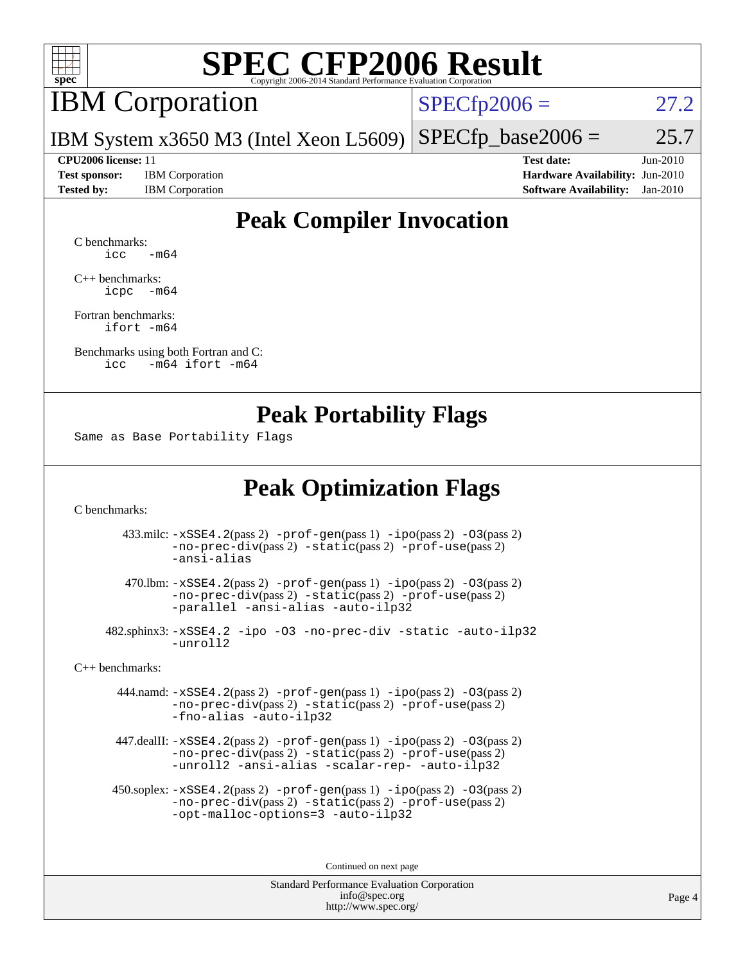

### IBM Corporation

 $SPECfp2006 = 27.2$  $SPECfp2006 = 27.2$ 

IBM System x3650 M3 (Intel Xeon L5609)  $SPECTp\_base2006 = 25.7$ 

**[Test sponsor:](http://www.spec.org/auto/cpu2006/Docs/result-fields.html#Testsponsor)** IBM Corporation **[Hardware Availability:](http://www.spec.org/auto/cpu2006/Docs/result-fields.html#HardwareAvailability)** Jun-2010

**[CPU2006 license:](http://www.spec.org/auto/cpu2006/Docs/result-fields.html#CPU2006license)** 11 **[Test date:](http://www.spec.org/auto/cpu2006/Docs/result-fields.html#Testdate)** Jun-2010 **[Tested by:](http://www.spec.org/auto/cpu2006/Docs/result-fields.html#Testedby)** IBM Corporation **[Software Availability:](http://www.spec.org/auto/cpu2006/Docs/result-fields.html#SoftwareAvailability)** Jan-2010

### **[Peak Compiler Invocation](http://www.spec.org/auto/cpu2006/Docs/result-fields.html#PeakCompilerInvocation)**

[C benchmarks](http://www.spec.org/auto/cpu2006/Docs/result-fields.html#Cbenchmarks):  $\text{icc}$   $-\text{m64}$ 

[C++ benchmarks:](http://www.spec.org/auto/cpu2006/Docs/result-fields.html#CXXbenchmarks) [icpc -m64](http://www.spec.org/cpu2006/results/res2010q3/cpu2006-20100621-11855.flags.html#user_CXXpeak_intel_icpc_64bit_bedb90c1146cab66620883ef4f41a67e)

[Fortran benchmarks](http://www.spec.org/auto/cpu2006/Docs/result-fields.html#Fortranbenchmarks): [ifort -m64](http://www.spec.org/cpu2006/results/res2010q3/cpu2006-20100621-11855.flags.html#user_FCpeak_intel_ifort_64bit_ee9d0fb25645d0210d97eb0527dcc06e)

[Benchmarks using both Fortran and C](http://www.spec.org/auto/cpu2006/Docs/result-fields.html#BenchmarksusingbothFortranandC): [icc -m64](http://www.spec.org/cpu2006/results/res2010q3/cpu2006-20100621-11855.flags.html#user_CC_FCpeak_intel_icc_64bit_0b7121f5ab7cfabee23d88897260401c) [ifort -m64](http://www.spec.org/cpu2006/results/res2010q3/cpu2006-20100621-11855.flags.html#user_CC_FCpeak_intel_ifort_64bit_ee9d0fb25645d0210d97eb0527dcc06e)

#### **[Peak Portability Flags](http://www.spec.org/auto/cpu2006/Docs/result-fields.html#PeakPortabilityFlags)**

Same as Base Portability Flags

### **[Peak Optimization Flags](http://www.spec.org/auto/cpu2006/Docs/result-fields.html#PeakOptimizationFlags)**

[C benchmarks](http://www.spec.org/auto/cpu2006/Docs/result-fields.html#Cbenchmarks):

 433.milc: [-xSSE4.2](http://www.spec.org/cpu2006/results/res2010q3/cpu2006-20100621-11855.flags.html#user_peakPASS2_CFLAGSPASS2_LDFLAGS433_milc_f-xSSE42_f91528193cf0b216347adb8b939d4107)(pass 2) [-prof-gen](http://www.spec.org/cpu2006/results/res2010q3/cpu2006-20100621-11855.flags.html#user_peakPASS1_CFLAGSPASS1_LDFLAGS433_milc_prof_gen_e43856698f6ca7b7e442dfd80e94a8fc)(pass 1) [-ipo](http://www.spec.org/cpu2006/results/res2010q3/cpu2006-20100621-11855.flags.html#user_peakPASS2_CFLAGSPASS2_LDFLAGS433_milc_f-ipo)(pass 2) [-O3](http://www.spec.org/cpu2006/results/res2010q3/cpu2006-20100621-11855.flags.html#user_peakPASS2_CFLAGSPASS2_LDFLAGS433_milc_f-O3)(pass 2) [-no-prec-div](http://www.spec.org/cpu2006/results/res2010q3/cpu2006-20100621-11855.flags.html#user_peakPASS2_CFLAGSPASS2_LDFLAGS433_milc_f-no-prec-div)(pass 2) [-static](http://www.spec.org/cpu2006/results/res2010q3/cpu2006-20100621-11855.flags.html#user_peakPASS2_CFLAGSPASS2_LDFLAGS433_milc_f-static)(pass 2) [-prof-use](http://www.spec.org/cpu2006/results/res2010q3/cpu2006-20100621-11855.flags.html#user_peakPASS2_CFLAGSPASS2_LDFLAGS433_milc_prof_use_bccf7792157ff70d64e32fe3e1250b55)(pass 2) [-ansi-alias](http://www.spec.org/cpu2006/results/res2010q3/cpu2006-20100621-11855.flags.html#user_peakOPTIMIZE433_milc_f-ansi-alias)

 470.lbm: [-xSSE4.2](http://www.spec.org/cpu2006/results/res2010q3/cpu2006-20100621-11855.flags.html#user_peakPASS2_CFLAGSPASS2_LDFLAGS470_lbm_f-xSSE42_f91528193cf0b216347adb8b939d4107)(pass 2) [-prof-gen](http://www.spec.org/cpu2006/results/res2010q3/cpu2006-20100621-11855.flags.html#user_peakPASS1_CFLAGSPASS1_LDFLAGS470_lbm_prof_gen_e43856698f6ca7b7e442dfd80e94a8fc)(pass 1) [-ipo](http://www.spec.org/cpu2006/results/res2010q3/cpu2006-20100621-11855.flags.html#user_peakPASS2_CFLAGSPASS2_LDFLAGS470_lbm_f-ipo)(pass 2) [-O3](http://www.spec.org/cpu2006/results/res2010q3/cpu2006-20100621-11855.flags.html#user_peakPASS2_CFLAGSPASS2_LDFLAGS470_lbm_f-O3)(pass 2) [-no-prec-div](http://www.spec.org/cpu2006/results/res2010q3/cpu2006-20100621-11855.flags.html#user_peakPASS2_CFLAGSPASS2_LDFLAGS470_lbm_f-no-prec-div)(pass 2) [-static](http://www.spec.org/cpu2006/results/res2010q3/cpu2006-20100621-11855.flags.html#user_peakPASS2_CFLAGSPASS2_LDFLAGS470_lbm_f-static)(pass 2) [-prof-use](http://www.spec.org/cpu2006/results/res2010q3/cpu2006-20100621-11855.flags.html#user_peakPASS2_CFLAGSPASS2_LDFLAGS470_lbm_prof_use_bccf7792157ff70d64e32fe3e1250b55)(pass 2) [-parallel](http://www.spec.org/cpu2006/results/res2010q3/cpu2006-20100621-11855.flags.html#user_peakOPTIMIZE470_lbm_f-parallel) [-ansi-alias](http://www.spec.org/cpu2006/results/res2010q3/cpu2006-20100621-11855.flags.html#user_peakOPTIMIZE470_lbm_f-ansi-alias) [-auto-ilp32](http://www.spec.org/cpu2006/results/res2010q3/cpu2006-20100621-11855.flags.html#user_peakCOPTIMIZE470_lbm_f-auto-ilp32)

 482.sphinx3: [-xSSE4.2](http://www.spec.org/cpu2006/results/res2010q3/cpu2006-20100621-11855.flags.html#user_peakOPTIMIZE482_sphinx3_f-xSSE42_f91528193cf0b216347adb8b939d4107) [-ipo](http://www.spec.org/cpu2006/results/res2010q3/cpu2006-20100621-11855.flags.html#user_peakOPTIMIZE482_sphinx3_f-ipo) [-O3](http://www.spec.org/cpu2006/results/res2010q3/cpu2006-20100621-11855.flags.html#user_peakOPTIMIZE482_sphinx3_f-O3) [-no-prec-div](http://www.spec.org/cpu2006/results/res2010q3/cpu2006-20100621-11855.flags.html#user_peakOPTIMIZE482_sphinx3_f-no-prec-div) [-static](http://www.spec.org/cpu2006/results/res2010q3/cpu2006-20100621-11855.flags.html#user_peakOPTIMIZE482_sphinx3_f-static) [-auto-ilp32](http://www.spec.org/cpu2006/results/res2010q3/cpu2006-20100621-11855.flags.html#user_peakCOPTIMIZE482_sphinx3_f-auto-ilp32) [-unroll2](http://www.spec.org/cpu2006/results/res2010q3/cpu2006-20100621-11855.flags.html#user_peakCOPTIMIZE482_sphinx3_f-unroll_784dae83bebfb236979b41d2422d7ec2)

[C++ benchmarks:](http://www.spec.org/auto/cpu2006/Docs/result-fields.html#CXXbenchmarks)

 444.namd: [-xSSE4.2](http://www.spec.org/cpu2006/results/res2010q3/cpu2006-20100621-11855.flags.html#user_peakPASS2_CXXFLAGSPASS2_LDFLAGS444_namd_f-xSSE42_f91528193cf0b216347adb8b939d4107)(pass 2) [-prof-gen](http://www.spec.org/cpu2006/results/res2010q3/cpu2006-20100621-11855.flags.html#user_peakPASS1_CXXFLAGSPASS1_LDFLAGS444_namd_prof_gen_e43856698f6ca7b7e442dfd80e94a8fc)(pass 1) [-ipo](http://www.spec.org/cpu2006/results/res2010q3/cpu2006-20100621-11855.flags.html#user_peakPASS2_CXXFLAGSPASS2_LDFLAGS444_namd_f-ipo)(pass 2) [-O3](http://www.spec.org/cpu2006/results/res2010q3/cpu2006-20100621-11855.flags.html#user_peakPASS2_CXXFLAGSPASS2_LDFLAGS444_namd_f-O3)(pass 2) [-no-prec-div](http://www.spec.org/cpu2006/results/res2010q3/cpu2006-20100621-11855.flags.html#user_peakPASS2_CXXFLAGSPASS2_LDFLAGS444_namd_f-no-prec-div)(pass 2) [-static](http://www.spec.org/cpu2006/results/res2010q3/cpu2006-20100621-11855.flags.html#user_peakPASS2_CXXFLAGSPASS2_LDFLAGS444_namd_f-static)(pass 2) [-prof-use](http://www.spec.org/cpu2006/results/res2010q3/cpu2006-20100621-11855.flags.html#user_peakPASS2_CXXFLAGSPASS2_LDFLAGS444_namd_prof_use_bccf7792157ff70d64e32fe3e1250b55)(pass 2) [-fno-alias](http://www.spec.org/cpu2006/results/res2010q3/cpu2006-20100621-11855.flags.html#user_peakOPTIMIZE444_namd_f-no-alias_694e77f6c5a51e658e82ccff53a9e63a) [-auto-ilp32](http://www.spec.org/cpu2006/results/res2010q3/cpu2006-20100621-11855.flags.html#user_peakCXXOPTIMIZE444_namd_f-auto-ilp32)

 447.dealII: [-xSSE4.2](http://www.spec.org/cpu2006/results/res2010q3/cpu2006-20100621-11855.flags.html#user_peakPASS2_CXXFLAGSPASS2_LDFLAGS447_dealII_f-xSSE42_f91528193cf0b216347adb8b939d4107)(pass 2) [-prof-gen](http://www.spec.org/cpu2006/results/res2010q3/cpu2006-20100621-11855.flags.html#user_peakPASS1_CXXFLAGSPASS1_LDFLAGS447_dealII_prof_gen_e43856698f6ca7b7e442dfd80e94a8fc)(pass 1) [-ipo](http://www.spec.org/cpu2006/results/res2010q3/cpu2006-20100621-11855.flags.html#user_peakPASS2_CXXFLAGSPASS2_LDFLAGS447_dealII_f-ipo)(pass 2) [-O3](http://www.spec.org/cpu2006/results/res2010q3/cpu2006-20100621-11855.flags.html#user_peakPASS2_CXXFLAGSPASS2_LDFLAGS447_dealII_f-O3)(pass 2) [-no-prec-div](http://www.spec.org/cpu2006/results/res2010q3/cpu2006-20100621-11855.flags.html#user_peakPASS2_CXXFLAGSPASS2_LDFLAGS447_dealII_f-no-prec-div)(pass 2) [-static](http://www.spec.org/cpu2006/results/res2010q3/cpu2006-20100621-11855.flags.html#user_peakPASS2_CXXFLAGSPASS2_LDFLAGS447_dealII_f-static)(pass 2) [-prof-use](http://www.spec.org/cpu2006/results/res2010q3/cpu2006-20100621-11855.flags.html#user_peakPASS2_CXXFLAGSPASS2_LDFLAGS447_dealII_prof_use_bccf7792157ff70d64e32fe3e1250b55)(pass 2) [-unroll2](http://www.spec.org/cpu2006/results/res2010q3/cpu2006-20100621-11855.flags.html#user_peakOPTIMIZE447_dealII_f-unroll_784dae83bebfb236979b41d2422d7ec2) [-ansi-alias](http://www.spec.org/cpu2006/results/res2010q3/cpu2006-20100621-11855.flags.html#user_peakOPTIMIZE447_dealII_f-ansi-alias) [-scalar-rep-](http://www.spec.org/cpu2006/results/res2010q3/cpu2006-20100621-11855.flags.html#user_peakOPTIMIZE447_dealII_f-disablescalarrep_abbcad04450fb118e4809c81d83c8a1d) [-auto-ilp32](http://www.spec.org/cpu2006/results/res2010q3/cpu2006-20100621-11855.flags.html#user_peakCXXOPTIMIZE447_dealII_f-auto-ilp32)

 450.soplex: [-xSSE4.2](http://www.spec.org/cpu2006/results/res2010q3/cpu2006-20100621-11855.flags.html#user_peakPASS2_CXXFLAGSPASS2_LDFLAGS450_soplex_f-xSSE42_f91528193cf0b216347adb8b939d4107)(pass 2) [-prof-gen](http://www.spec.org/cpu2006/results/res2010q3/cpu2006-20100621-11855.flags.html#user_peakPASS1_CXXFLAGSPASS1_LDFLAGS450_soplex_prof_gen_e43856698f6ca7b7e442dfd80e94a8fc)(pass 1) [-ipo](http://www.spec.org/cpu2006/results/res2010q3/cpu2006-20100621-11855.flags.html#user_peakPASS2_CXXFLAGSPASS2_LDFLAGS450_soplex_f-ipo)(pass 2) [-O3](http://www.spec.org/cpu2006/results/res2010q3/cpu2006-20100621-11855.flags.html#user_peakPASS2_CXXFLAGSPASS2_LDFLAGS450_soplex_f-O3)(pass 2) [-no-prec-div](http://www.spec.org/cpu2006/results/res2010q3/cpu2006-20100621-11855.flags.html#user_peakPASS2_CXXFLAGSPASS2_LDFLAGS450_soplex_f-no-prec-div)(pass 2) [-static](http://www.spec.org/cpu2006/results/res2010q3/cpu2006-20100621-11855.flags.html#user_peakPASS2_CXXFLAGSPASS2_LDFLAGS450_soplex_f-static)(pass 2) [-prof-use](http://www.spec.org/cpu2006/results/res2010q3/cpu2006-20100621-11855.flags.html#user_peakPASS2_CXXFLAGSPASS2_LDFLAGS450_soplex_prof_use_bccf7792157ff70d64e32fe3e1250b55)(pass 2) [-opt-malloc-options=3](http://www.spec.org/cpu2006/results/res2010q3/cpu2006-20100621-11855.flags.html#user_peakOPTIMIZE450_soplex_f-opt-malloc-options_13ab9b803cf986b4ee62f0a5998c2238) [-auto-ilp32](http://www.spec.org/cpu2006/results/res2010q3/cpu2006-20100621-11855.flags.html#user_peakCXXOPTIMIZE450_soplex_f-auto-ilp32)

Continued on next page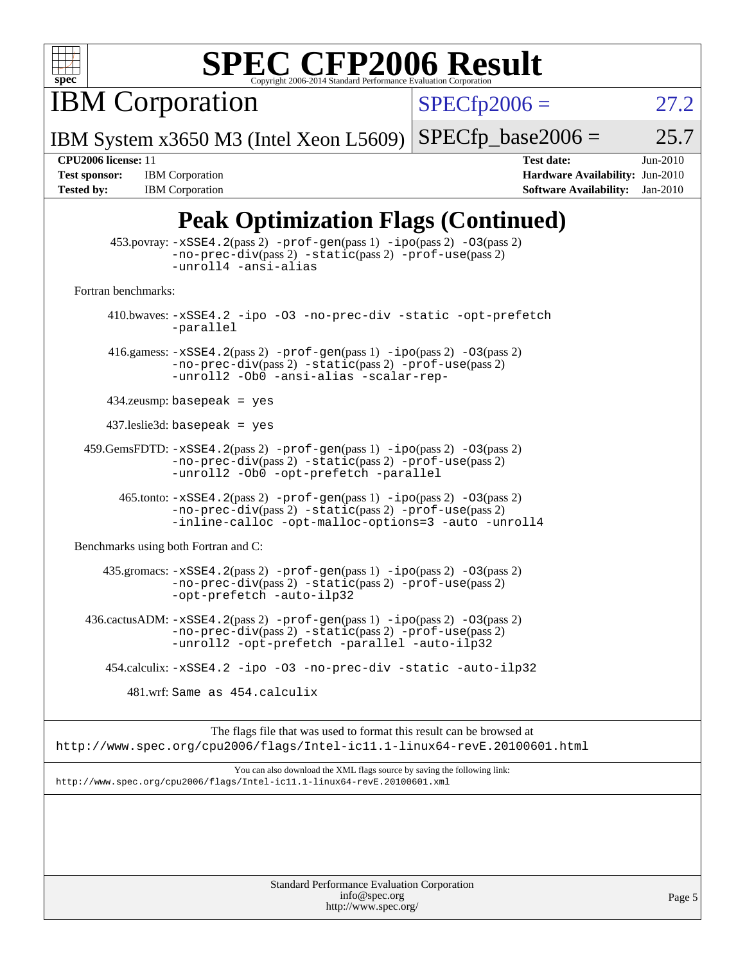

**IBM Corporation** 

 $SPECfp2006 = 27.2$  $SPECfp2006 = 27.2$ 

IBM System x3650 M3 (Intel Xeon L5609)  $SPECTp\_base2006 = 25.7$ 

**[Tested by:](http://www.spec.org/auto/cpu2006/Docs/result-fields.html#Testedby)** IBM Corporation **[Software Availability:](http://www.spec.org/auto/cpu2006/Docs/result-fields.html#SoftwareAvailability)** Jan-2010

**[CPU2006 license:](http://www.spec.org/auto/cpu2006/Docs/result-fields.html#CPU2006license)** 11 **[Test date:](http://www.spec.org/auto/cpu2006/Docs/result-fields.html#Testdate)** Jun-2010 **[Test sponsor:](http://www.spec.org/auto/cpu2006/Docs/result-fields.html#Testsponsor)** IBM Corporation **[Hardware Availability:](http://www.spec.org/auto/cpu2006/Docs/result-fields.html#HardwareAvailability)** Jun-2010

### **[Peak Optimization Flags \(Continued\)](http://www.spec.org/auto/cpu2006/Docs/result-fields.html#PeakOptimizationFlags)**

|                                      | $\mathbf{B}^{\prime}$ ( $\sim$ $\sim$ $\sim$ $\sim$ $\sim$ $\sim$                                                                                                                       |
|--------------------------------------|-----------------------------------------------------------------------------------------------------------------------------------------------------------------------------------------|
|                                      | $453.$ povray: $-xSSE4.2(pass2)$ -prof-gen $(pass1)$ -ipo $(pass2)$ -03 $(pass2)$<br>-no-prec-div(pass 2) -static(pass 2) -prof-use(pass 2)<br>-unroll4 -ansi-alias                     |
| Fortran benchmarks:                  |                                                                                                                                                                                         |
|                                      | 410.bwaves: -xSSE4.2 -ipo -03 -no-prec-div -static -opt-prefetch<br>-parallel                                                                                                           |
|                                      | 416.gamess: $-xSSE4$ . 2(pass 2) $-prof-gen(pass 1) -ipo(pass 2) -03(pass 2)$<br>-no-prec-div(pass 2) -static(pass 2) -prof-use(pass 2)<br>-unroll2 -Ob0 -ansi-alias -scalar-rep-       |
|                                      | $434$ .zeusmp: basepeak = yes                                                                                                                                                           |
|                                      | $437$ .leslie3d: basepeak = yes                                                                                                                                                         |
|                                      | $459.GemsFDTD: -xSSE4.2(pass 2) -prof-gen(pass 1) -ipo(pass 2) -03(pass 2)$<br>-no-prec-div(pass 2) -static(pass 2) -prof-use(pass 2)<br>-unroll2 -Ob0 -opt-prefetch -parallel          |
|                                      | 465.tonto: -xSSE4.2(pass 2) -prof-gen(pass 1) -ipo(pass 2) -03(pass 2)<br>-no-prec-div(pass 2) -static(pass 2) -prof-use(pass 2)<br>-inline-calloc -opt-malloc-options=3 -auto -unroll4 |
| Benchmarks using both Fortran and C: |                                                                                                                                                                                         |
|                                      | 435.gromacs: -xSSE4.2(pass 2) -prof-gen(pass 1) -ipo(pass 2) -03(pass 2)<br>-no-prec-div(pass 2) -static(pass 2) -prof-use(pass 2)<br>-opt-prefetch -auto-ilp32                         |
|                                      | 436.cactusADM: -xSSE4.2(pass 2) -prof-gen(pass 1) -ipo(pass 2) -03(pass 2)<br>-no-prec-div(pass 2) -static(pass 2) -prof-use(pass 2)<br>-unroll2 -opt-prefetch -parallel -auto-ilp32    |
|                                      | 454.calculix: -xSSE4.2 -ipo -03 -no-prec-div -static -auto-ilp32                                                                                                                        |
|                                      | 481.wrf: Same as 454.calculix                                                                                                                                                           |
|                                      | The flags file that was used to format this result can be browsed at<br>http://www.spec.org/cpu2006/flags/Intel-ic11.1-linux64-revE.20100601.html                                       |
|                                      | You can also download the XML flags source by saving the following link:                                                                                                                |
|                                      | http://www.spec.org/cpu2006/flags/Intel-icll.1-linux64-revE.20100601.xml                                                                                                                |
|                                      |                                                                                                                                                                                         |
|                                      |                                                                                                                                                                                         |
|                                      |                                                                                                                                                                                         |
|                                      |                                                                                                                                                                                         |